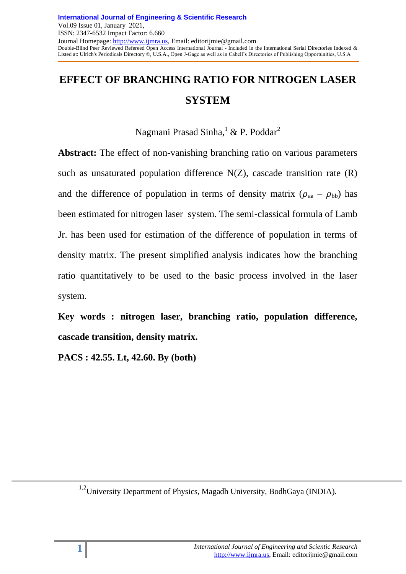# **EFFECT OF BRANCHING RATIO FOR NITROGEN LASER SYSTEM**

# Nagmani Prasad Sinha,<sup>1</sup> & P. Poddar<sup>2</sup>

**Abstract:** The effect of non-vanishing branching ratio on various parameters such as unsaturated population difference  $N(Z)$ , cascade transition rate  $(R)$ and the difference of population in terms of density matrix  $(\rho_{aa} - \rho_{bb})$  has been estimated for nitrogen laser system. The semi-classical formula of Lamb Jr. has been used for estimation of the difference of population in terms of density matrix. The present simplified analysis indicates how the branching ratio quantitatively to be used to the basic process involved in the laser system.

**Key words : nitrogen laser, branching ratio, population difference, cascade transition, density matrix.**

**PACS : 42.55. Lt, 42.60. By (both)**

<sup>1,2</sup>University Department of Physics, Magadh University, BodhGaya (INDIA).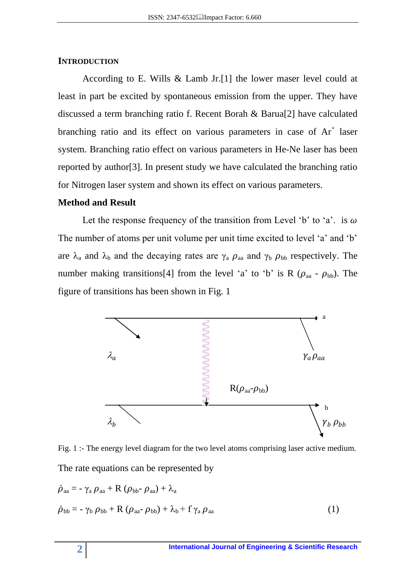#### **INTRODUCTION**

According to E. Wills & Lamb Jr.[1] the lower maser level could at least in part be excited by spontaneous emission from the upper. They have discussed a term branching ratio f. Recent Borah & Barua[2] have calculated branching ratio and its effect on various parameters in case of  $Ar^+$  laser system. Branching ratio effect on various parameters in He-Ne laser has been reported by author[3]. In present study we have calculated the branching ratio for Nitrogen laser system and shown its effect on various parameters.

#### **Method and Result**

Let the response frequency of the transition from Level 'b' to 'a'. is  $\omega$ The number of atoms per unit volume per unit time excited to level 'a' and 'b' are  $\lambda_a$  and  $\lambda_b$  and the decaying rates are  $\gamma_a$   $\rho_{aa}$  and  $\gamma_b$   $\rho_{bb}$  respectively. The number making transitions[4] from the level 'a' to 'b' is R ( $\rho_{aa}$  -  $\rho_{bb}$ ). The figure of transitions has been shown in Fig. 1



Fig. 1 :- The energy level diagram for the two level atoms comprising laser active medium. The rate equations can be represented by

$$
\dot{\rho}_{aa} = -\gamma_a \rho_{aa} + R (\rho_{bb} - \rho_{aa}) + \lambda_a
$$
  
\n
$$
\dot{\rho}_{bb} = -\gamma_b \rho_{bb} + R (\rho_{aa} - \rho_{bb}) + \lambda_b + f \gamma_a \rho_{aa}
$$
\n(1)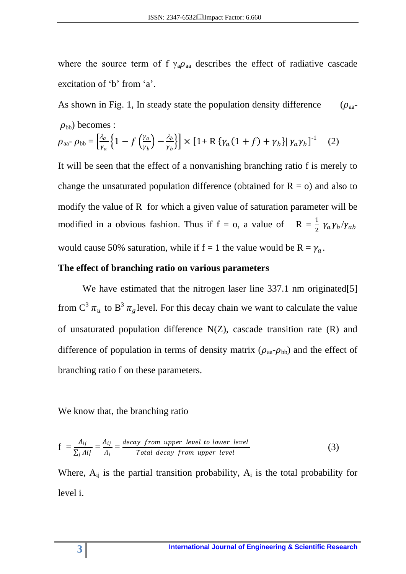where the source term of f  $\gamma_a \rho_{aa}$  describes the effect of radiative cascade excitation of 'b' from 'a'.

As shown in Fig. 1, In steady state the population density difference  $(\rho_{aa}$ - $\rho_{\rm bb}$ ) becomes :

$$
\rho_{aa^-} \rho_{bb} = \left[\frac{\lambda_a}{\gamma_a} \left\{1 - f\left(\frac{\gamma_a}{\gamma_b}\right) - \frac{\lambda_b}{\gamma_b}\right\}\right] \times \left[1 + R \left\{\gamma_a (1 + f) + \gamma_b\right\} \middle| \gamma_a \gamma_b\right]^{-1} \tag{2}
$$

It will be seen that the effect of a nonvanishing branching ratio f is merely to change the unsaturated population difference (obtained for  $R = 0$ ) and also to modify the value of R for which a given value of saturation parameter will be modified in a obvious fashion. Thus if  $f = o$ , a value of  $R = \frac{1}{2} \gamma_a \gamma_b / \gamma_{ab}$ would cause 50% saturation, while if  $f = 1$  the value would be  $R = \gamma_a$ .

#### **The effect of branching ratio on various parameters**

We have estimated that the nitrogen laser line 337.1 nm originated [5] from  $C^3 \pi_u$  to  $B^3 \pi_g$  level. For this decay chain we want to calculate the value of unsaturated population difference  $N(Z)$ , cascade transition rate  $(R)$  and difference of population in terms of density matrix ( $\rho_{aa}$ - $\rho_{bb}$ ) and the effect of branching ratio f on these parameters.

#### We know that, the branching ratio

$$
f = \frac{A_{ij}}{\sum_j A_{ij}} = \frac{A_{ij}}{A_i} = \frac{decay \ from \ upper \ level \ to \ lower \ level}{Total \ decay \ from \ upper \ level}
$$
 (3)

Where,  $A_{ij}$  is the partial transition probability,  $A_i$  is the total probability for level i.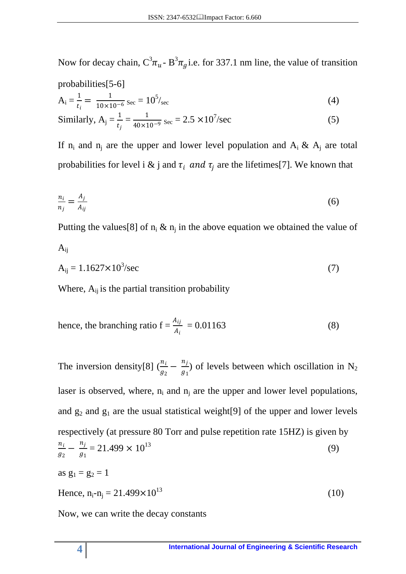Now for decay chain,  $C^3 \pi_u$ - B<sup>3</sup> $\pi_g$  i.e. for 337.1 nm line, the value of transition

probabilities[5-6]  
\n
$$
A_{i} = \frac{1}{t_{i}} = \frac{1}{10 \times 10^{-6}} \text{ sec} = 10^{5}/\text{sec}
$$
\n(4)

Similarly, 
$$
A_j = \frac{1}{t_j} = \frac{1}{40 \times 10^{-9}} \text{ sec} = 2.5 \times 10^7/\text{sec}
$$
 (5)

If  $n_i$  and  $n_j$  are the upper and lower level population and  $A_i \& A_j$  are total probabilities for level i & j and  $\tau_i$  and  $\tau_j$  are the lifetimes[7]. We known that

$$
\frac{n_i}{n_j} = \frac{A_j}{A_{ij}}\tag{6}
$$

Putting the values [8] of  $n_i \& n_j$  in the above equation we obtained the value of

$$
A_{ij} = 1.1627 \times 10^3 / \text{sec}
$$
 (7)

Where,  $A_{ij}$  is the partial transition probability

hence, the branching ratio 
$$
f = \frac{A_{ij}}{A_i} = 0.01163
$$
 (8)

The inversion density[8]  $\left(\frac{n_i}{n_i}\right)$  $\frac{n_i}{g_2} - \frac{n_j}{g_1}$  $\frac{n_j}{g_1}$ ) of levels between which oscillation in N<sub>2</sub> laser is observed, where,  $n_i$  and  $n_i$  are the upper and lower level populations, and  $g_2$  and  $g_1$  are the usual statistical weight[9] of the upper and lower levels respectively (at pressure 80 Torr and pulse repetition rate 15HZ) is given by  $n_i$  $\frac{n_i}{g_2} - \frac{n_j}{g_1}$  $\frac{n_j}{g_1} = 21.499 \times 10^{13}$  (9) as  $g_1 = g_2 = 1$ Hence,  $n_i - n_j = 21.499 \times 10^{13}$  (10)

Now, we can write the decay constants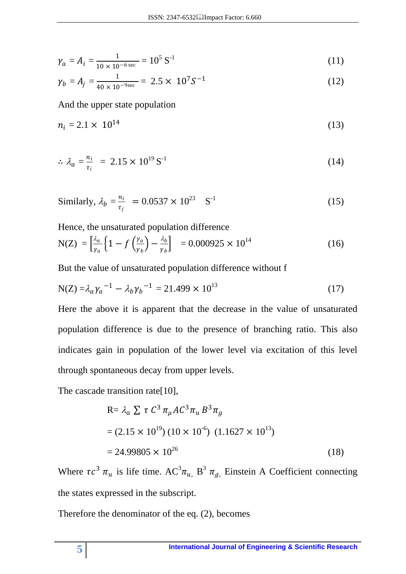$$
\gamma_a = A_i = \frac{1}{10 \times 10^{-6} \text{ sec}} = 10^5 \text{ S}^{-1}
$$
 (11)

$$
\gamma_b = A_j = \frac{1}{40 \times 10^{-9 \text{sec}}} = 2.5 \times 10^7 S^{-1}
$$
 (12)

And the upper state population

$$
n_i = 2.1 \times 10^{14} \tag{13}
$$

$$
\therefore \lambda_a = \frac{n_i}{\tau_i} = 2.15 \times 10^{19} \,\text{S}^{-1} \tag{14}
$$

Similarly, 
$$
\lambda_b = \frac{n_i}{\tau_j} = 0.0537 \times 10^{23} \text{ S}^{-1}
$$
 (15)

Hence, the unsaturated population difference

$$
N(Z) = \left[\frac{\lambda_a}{\gamma_a} \left\{ 1 - f\left(\frac{\gamma_a}{\gamma_b}\right) - \frac{\lambda_b}{\gamma_b} \right\}\right] = 0.000925 \times 10^{14} \tag{16}
$$

But the value of unsaturated population difference without f

$$
N(Z) = \lambda_a \gamma_a^{-1} - \lambda_b \gamma_b^{-1} = 21.499 \times 10^{13}
$$
 (17)

Here the above it is apparent that the decrease in the value of unsaturated population difference is due to the presence of branching ratio. This also indicates gain in population of the lower level via excitation of this level through spontaneous decay from upper levels.

The cascade transition rate[10],

$$
R = \lambda_a \sum \tau C^3 \pi_{\mu} A C^3 \pi_{u} B^3 \pi_{g}
$$
  
= (2.15 × 10<sup>19</sup>) (10 × 10<sup>-6</sup>) (1.1627 × 10<sup>13</sup>)  
= 24.99805 × 10<sup>26</sup> (18)

Where  $\tau c^3 \pi_u$  is life time.  $AC^3 \pi_u$ ,  $B^3 \pi_g$ , Einstein A Coefficient connecting the states expressed in the subscript.

Therefore the denominator of the eq. (2), becomes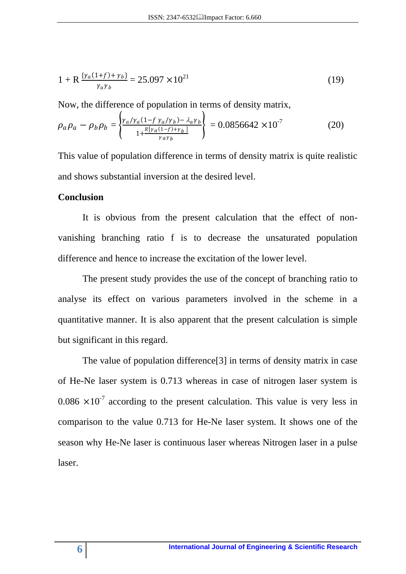$$
1 + R \frac{\{ \gamma_a (1+f) + \gamma_b \}}{\gamma_a \gamma_b} = 25.097 \times 10^{21}
$$
 (19)

Now, the difference of population in terms of density matrix,

$$
\rho_a \rho_a - \rho_b \rho_b = \left\{ \frac{Y_a / Y_a (1 - f \gamma_a / \gamma_b) - \lambda_a \gamma_b}{1 + \frac{R \{ Y_a (1 - f) + \gamma_b \}}{\gamma_a \gamma_b}} \right\} = 0.0856642 \times 10^{-7}
$$
\n(20)

This value of population difference in terms of density matrix is quite realistic and shows substantial inversion at the desired level.

#### **Conclusion**

It is obvious from the present calculation that the effect of nonvanishing branching ratio f is to decrease the unsaturated population difference and hence to increase the excitation of the lower level.

The present study provides the use of the concept of branching ratio to analyse its effect on various parameters involved in the scheme in a quantitative manner. It is also apparent that the present calculation is simple but significant in this regard.

The value of population difference[3] in terms of density matrix in case of He-Ne laser system is 0.713 whereas in case of nitrogen laser system is 0.086  $\times 10^{-7}$  according to the present calculation. This value is very less in comparison to the value 0.713 for He-Ne laser system. It shows one of the season why He-Ne laser is continuous laser whereas Nitrogen laser in a pulse laser.